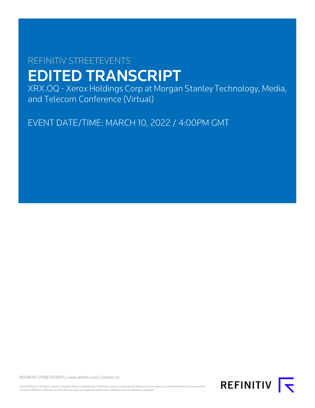# REFINITIV STREETEVENTS EDITED TRANSCRIPT

XRX.OQ - Xerox Holdings Corp at Morgan Stanley Technology, Media, and Telecom Conference (Virtual)

EVENT DATE/TIME: MARCH 10, 2022 / 4:00PM GMT

REFINITIV STREETEVENTS | [www.refinitiv.com](https://www.refinitiv.com/) | [Contact Us](https://www.refinitiv.com/en/contact-us)

©2022 Refinitiv. All rights reserved. Republication or redistribution of Refinitiv content, including by framing or similar means, is prohibited without the prior written<br>consent of Refinitiv. 'Refinitiv' and the Refinitiv

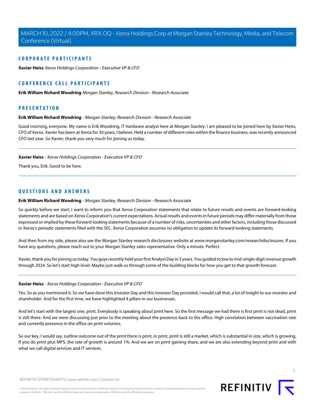# **CORPORATE PARTICIPANTS**

**[Xavier Heiss](#page-1-0)** Xerox Holdings Corporation - Executive VP & CFO

# **CONFERENCE CALL PARTICIPANTS**

**[Erik William Richard Woodring](#page-1-1)** Morgan Stanley, Research Division - Research Associate

# <span id="page-1-1"></span>**PRESENTATION**

## **Erik William Richard Woodring** - Morgan Stanley, Research Division - Research Associate

<span id="page-1-0"></span>Good morning, everyone. My name is Erik Woodring, IT hardware analyst here at Morgan Stanley. I am pleased to be joined here by Xavier Heiss, CFO of Xerox. Xavier has been at Xerox for 30 years, I believe. Held a number of different roles within the finance business, was recently announced CFO last year. So Xavier, thank you very much for joining us today.

#### **Xavier Heiss** - Xerox Holdings Corporation - Executive VP & CFO

Thank you, Erik. Good to be here.

# **QUESTIONS AND ANSWERS**

#### **Erik William Richard Woodring** - Morgan Stanley, Research Division - Research Associate

So quickly before we start, I want to inform you that Xerox Corporation statements that relate to future results and events are forward-looking statements and are based on Xerox Corporation's current expectations. Actual results and events in future periods may differ materially from those expressed or implied by these forward-looking statements because of a number of risks, uncertainties and other factors, including those discussed in Xerox's periodic statements filed with the SEC. Xerox Corporation assumes no obligation to update its forward-looking statements.

And then from my side, please also see the Morgan Stanley research disclosures website at www.morganstanley.com/researchdisclosures. If you have any questions, please reach out to your Morgan Stanley sales representative. Only a minute. Perfect.

Xavier, thank you for joining us today. You guys recently held your first Analyst Day in 3 years. You guided to low to mid-single-digit revenue growth through 2024. So let's start high level. Maybe just walk us through some of the building blocks for how you get to that growth forecast.

#### **Xavier Heiss** - Xerox Holdings Corporation - Executive VP & CFO

Yes. So as you mentioned it. So we have done this Investor Day and this Investor Day provided, I would call that, a lot of insight to our investor and shareholder. And for the first time, we have highlighted 4 pillars in our businesses.

And let's start with the largest one, print. Everybody is speaking about print here. So the first message we had there is first print is not dead, print is still there. And we were discussing just prior to the meeting about the presence back to the office. High correlation between vaccination rate and currently presence in the office on print volumes.

So our key, I would say, outline outcome out of the print there is print, in print, print is still a market, which is substantial in size, which is growing. If you do print plus MPS, the rate of growth is around 1%. And we are on print gaining share, and we are also extending beyond print and with what we call digital services and IT services.



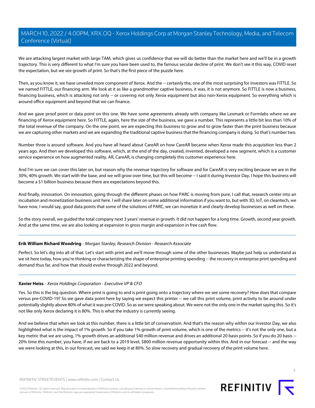We are attacking largest market with large TAM, which gives us confidence that we will do better than the market here and we'll be in a growth trajectory. This is very different to what I'm sure you have been used to, the famous secular decline of print. We don't see it this way, COVID reset the expectation, but we see growth of print. So that's the first piece of the puzzle here.

Then, as you know it, we have unveiled more component of Xerox. And the -- certainly the, one of the most surprising for investors was FITTLE. So we named FITTLE, our financing arm. We look at it as like a grandmother captive business, it was, it is not anymore. So FITTLE is now a business, financing business, which is attacking not only -- or covering not only Xerox equipment but also non-Xerox equipment. So everything which is around office equipment and beyond that we can finance.

And we gave proof point or data point on this one. We have some agreements already with company like Lexmark or Formlabs where we are financing of Xerox equipment here. So FITTLE, again, here the size of the business, we gave a number. This represents a little bit less than 10% of the total revenue of the company. On the one point, we are expecting this business to grow and to grow faster than the print business because we are capturing other markets and we are expanding the traditional captive business that the financing company is doing. So that's number two.

Number three is around software. And you have all heard about CareAR on how CareAR became when Xerox made this acquisition less than 2 years ago. And then we developed this software, which, at the end of the day, created, invented, developed a new segment, which is a customer service experience on how augmented reality, AR, CareAR, is changing completely this customer experience here.

And I'm sure we can cover this later on, but reason why the revenue trajectory for software and for CareAR is very exciting because we are in the 30%, 40% growth. We start with the base, and we will grow over time, but this will become -- I said it during Investor Day, I hope this business will become a \$1 billion business because there are expectations beyond this.

And finally, innovation. On innovation, going through the different phases on how PARC is moving from pure, I call that, research center into an incubation and monetization business unit here. I will share later on some additional information if you want to, but with 3D, IoT, on cleantech, we have now, I would say, good data points that some of the solutions of PARC, we can monetize it and clearly develop businesses as well on these.

So the story overall, we guided the total company next 3 years' revenue in growth. It did not happen for a long time. Growth, second year growth. And at the same time, we are also looking at expansion in gross margin and expansion in free cash flow.

# **Erik William Richard Woodring** - Morgan Stanley, Research Division - Research Associate

Perfect. So let's dig into all of that. Let's start with print and we'll move through some of the other businesses. Maybe just help us understand as we sit here today, how you're thinking or characterizing the shape of enterprise printing spending -- the recovery in enterprise print spending and demand thus far, and how that should evolve through 2022 and beyond.

# **Xavier Heiss** - Xerox Holdings Corporation - Executive VP & CFO

Yes. So this is the big question. Where print is going to and is print going onto a trajectory where we see some recovery? How does that compare versus pre-COVID-19? So we gave data point here by saying we expect this printer -- we call this print volume, print activity to be around under potentially slightly above 80% of what it was pre-COVID. So as we were speaking about. We were not the only one in the market saying this. So it's not like only Xerox declaring it is 80%. This is what the industry is currently seeing.

And we believe that when we look at this number, there is a little bit of conservatism. And that's the reason why within our Investor Day, we also highlighted what is the impact of 1% growth. So if you take 1% growth of print volume, which is one of the metrics -- it's not the only one, but a key metric that we are using, 1% growth drives an additional \$40 million revenue and drives an additional 20 basis points. So if you do 20 basis --20% time this number, you have, if we are back to a 2019 level, \$800 million revenue opportunity within this. And in our forecast -- and the way we were looking at this, in our forecast, we said we keep it at 80%. So slow recovery and gradual recovery of the print volume here.



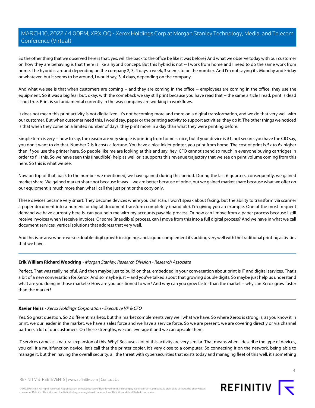So the other thing that we observed here is that, yes, will the back to the office be like it was before? And what we observe today with our customer on how they are behaving is that there is like a hybrid concept. But this hybrid is not -- I work from home and I need to do the same work from home. The hybrid is around depending on the company 2, 3, 4 days a week, 3 seems to be the number. And I'm not saying it's Monday and Friday or whatever, but it seems to be around, I would say, 3, 4 days, depending on the company.

And what we see is that when customers are coming -- and they are coming in the office -- employees are coming in the office, they use the equipment. So it was a big fear but, okay, with the comeback we say still print because you have read that -- the same article I read, print is dead is not true. Print is so fundamental currently in the way company are working in workflows.

It does not mean this print activity is not digitalized. It's not becoming more and more on a digital transformation, and we do that very well with our customer. But when customer need this, I would say, paper or the printing activity to support activities, they do it. The other things we noticed is that when they come on a limited number of days, they print more in a day than what they were printing before.

Simple term is very -- how to say, the reason are very simple is printing from home is nice, but if your device is #1, not secure, you have the CIO say, you don't want to do that. Number 2 is it costs a fortune. You have a nice inkjet printer, you print from home. The cost of print is 5x to 6x higher than if you use the printer here. So people like me are looking at this and say, hey, CFO cannot spend so much in everyone buying cartridges in order to fill this. So we have seen this (inaudible) help as well or it supports this revenue trajectory that we see on print volume coming from this here. So this is what we see.

Now on top of that, back to the number we mentioned, we have gained during this period. During the last 6 quarters, consequently, we gained market share. We gained market share not because it was -- we are better because of pride, but we gained market share because what we offer on our equipment is much more than what I call the just print or the copy only.

These devices became very smart. They become devices where you can scan, I won't speak about faxing, but the ability to transform via scanner a paper document into a numeric or digital document transform completely (inaudible). I'm giving you an example. One of the most frequent demand we have currently here is, can you help me with my accounts payable process. Or how can I move from a paper process because I still receive invoices when I receive invoices. Or some (inaudible) process, can I move from this into a full digital process? And we have in what we call document services, vertical solutions that address that very well.

And this is an area where we see double-digit growth in signings and a good complement it's adding very well with the traditional printing activities that we have.

# **Erik William Richard Woodring** - Morgan Stanley, Research Division - Research Associate

Perfect. That was really helpful. And then maybe just to build on that, embedded in your conversation about print is IT and digital services. That's a bit of a new conversation for Xerox. And so maybe just -- and you've talked about that growing double digits. So maybe just help us understand what are you doing in those markets? How are you positioned to win? And why can you grow faster than the market -- why can Xerox grow faster than the market?

# **Xavier Heiss** - Xerox Holdings Corporation - Executive VP & CFO

Yes. So great question. So 2 different markets, but this market complements very well what we have. So where Xerox is strong is, as you know it in print, we our leader in the market, we have a sales force and we have a service force. So we are present, we are covering directly or via channel partners a lot of our customers. On these strengths, we can leverage it and we can upscale them.

IT services came as a natural expansion of this. Why? Because a lot of this activity are very similar. That means when I describe the type of devices, you call it a multifunction device, let's call that the printer copier. It's very close to a computer. So connecting it on the network, being able to manage it, but then having the overall security, all the threat with cybersecurities that exists today and managing fleet of this well, it's something



 $\Delta$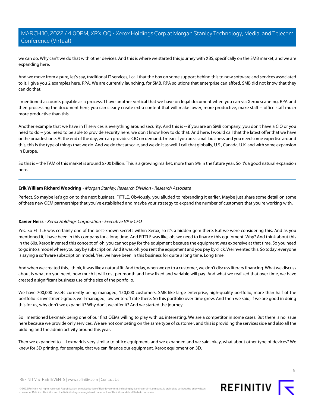we can do. Why can't we do that with other devices. And this is where we started this journey with XBS, specifically on the SMB market, and we are expanding here.

And we move from a pure, let's say, traditional IT services, I call that the box on some support behind this to now software and services associated to it. I give you 2 examples here, RPA. We are currently launching, for SMB, RPA solutions that enterprise can afford, SMB did not know that they can do that.

I mentioned accounts payable as a process. I have another vertical that we have on legal document when you can via Xerox scanning, RPA and then processing the document here, you can clearly create extra content that will make lower, more productive, make staff -- office staff much more productive than this.

Another example that we have in IT services is everything around security. And this is -- if you are an SMB company, you don't have a CIO or you need to do -- you need to be able to provide security here, we don't know how to do that. And here, I would call that the latest offer that we have or the broadest one. At the end of the day, we can provide a CIO on demand. I mean if you are a small business and you need some expertise around this, this is the type of things that we do. And we do that at scale, and we do it as well. I call that globally, U.S., Canada, U.K. and with some expansion in Europe.

So this is -- the TAM of this market is around \$700 billion. This is a growing market, more than 5% in the future year. So it's a good natural expansion here.

# **Erik William Richard Woodring** - Morgan Stanley, Research Division - Research Associate

Perfect. So maybe let's go on to the next business, FITTLE. Obviously, you alluded to rebranding it earlier. Maybe just share some detail on some of these new OEM partnerships that you've established and maybe your strategy to expand the number of customers that you're working with.

#### **Xavier Heiss** - Xerox Holdings Corporation - Executive VP & CFO

Yes. So FITTLE was certainly one of the best-known secrets within Xerox, so it's a hidden gem there. But we were considering this. And as you mentioned it, I have been in this company for a long time. And FITTLE was like, oh, we need to finance this equipment. Why? And think about this in the 60s, Xerox invented this concept of, oh, you cannot pay for the equipment because the equipment was expensive at that time. So you need to go into a model where you pay by subscription. And it was, oh, you rent the equipment and you pay by click. We invented this. So today, everyone is saying a software subscription model. Yes, we have been in this business for quite a long time. Long time.

And when we created this, I think, it was like a natural fit. And today, when we go to a customer, we don't discuss literary financing. What we discuss about is what do you need, how much it will cost per month and how fixed and variable will pay. And what we realized that over time, we have created a significant business use of the size of the portfolio.

We have 700,000 assets currently being managed, 150,000 customers. SMB like large enterprise, high-quality portfolio, more than half of the portfolio is investment-grade, well-managed, low write-off rate there. So this portfolio over time grew. And then we said, if we are good in doing this for us, why don't we expand it? Why don't we offer it? And we started the journey.

So I mentioned Lexmark being one of our first OEMs willing to play with us, interesting. We are a competitor in some cases. But there is no issue here because we provide only services. We are not competing on the same type of customer, and this is providing the services side and also all the bidding and the admin activity around this year.

Then we expanded to -- Lexmark is very similar to office equipment, and we expanded and we said, okay, what about other type of devices? We knew for 3D printing, for example, that we can finance our equipment, Xerox equipment on 3D.

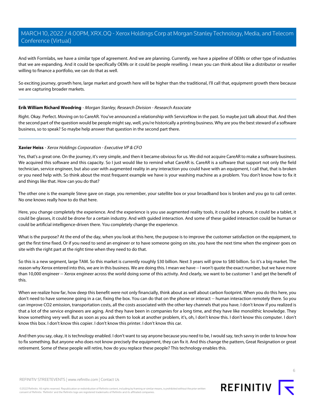And with Formlabs, we have a similar type of agreement. And we are planning. Currently, we have a pipeline of OEMs or other type of industries that we are expanding. And it could be specifically OEMs or it could be people reselling. I mean you can think about like a distributor or reseller willing to finance a portfolio, we can do that as well.

So exciting journey, growth here, large market and growth here will be higher than the traditional, I'll call that, equipment growth there because we are capturing broader markets.

## **Erik William Richard Woodring** - Morgan Stanley, Research Division - Research Associate

Right. Okay. Perfect. Moving on to CareAR. You've announced a relationship with ServiceNow in the past. So maybe just talk about that. And then the second part of the question would be people might say, well, you're historically a printing business. Why are you the best steward of a software business, so to speak? So maybe help answer that question in the second part there.

## **Xavier Heiss** - Xerox Holdings Corporation - Executive VP & CFO

Yes, that's a great one. On the journey, it's very simple, and then it became obvious for us. We did not acquire CareAR to make a software business. We acquired this software and this capacity. So I just would like to remind what CareAR is. CareAR is a software that support not only the field technician, service engineer, but also user with augmented reality in any interaction you could have with an equipment, I call that, that is broken or you need help with. So think about the most frequent example we have is your washing machine as a problem. You don't know how to fix it and things like that. How can you do that?

The other one is the example Steve gave on stage, you remember, your satellite box or your broadband box is broken and you go to call center. No one knows really how to do that here.

Here, you change completely the experience. And the experience is you use augmented reality tools, it could be a phone, it could be a tablet, it could be glasses, it could be drone for a certain industry. And with guided interaction. And some of these guided interaction could be human or could be artificial intelligence-driven there. You completely change the experience.

What is the purpose? At the end of the day, when you look at this here, the purpose is to improve the customer satisfaction on the equipment, to get the first time fixed. Or if you need to send an engineer or to have someone going on site, you have the next time when the engineer goes on site with the right part at the right time when they need to do that.

So this is a new segment, large TAM. So this market is currently roughly \$30 billion. Next 3 years will grow to \$80 billion. So it's a big market. The reason why Xerox entered into this, we are in this business. We are doing this. I mean we have -- I won't quote the exact number, but we have more than 10,000 engineer -- Xerox engineer across the world doing some of this activity. And clearly, we want to be customer 1 and get the benefit of this.

When we realize how far, how deep this benefit were not only financially, think about as well about carbon footprint. When you do this here, you don't need to have someone going in a car, fixing the box. You can do that on the phone or interact -- human interaction remotely there. So you can improve CO2 emission, transportation costs, all the costs associated with the other key channels that you have. I don't know if you realized is that a lot of the service engineers are aging. And they have been in companies for a long time, and they have like monolithic knowledge. They know something very well. But as soon as you ask them to look at another problem, it's, oh, I don't know this. I don't know this computer. I don't know this box. I don't know this copier. I don't know this printer. I don't know this car.

And then you say, okay, it is technology enabled. I don't want to say anyone because you need to be, I would say, tech savvy in order to know how to fix something. But anyone who does not know precisely the equipment, they can fix it. And this change the pattern, Great Resignation or great retirement. Some of these people will retire, how do you replace these people? This technology enables this.

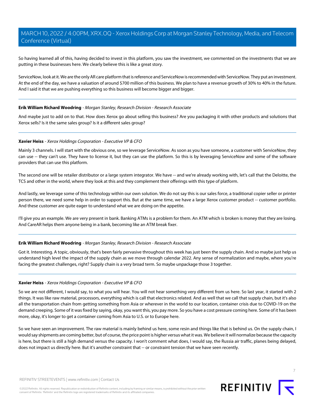So having learned all of this, having decided to invest in this platform, you saw the investment, we commented on the investments that we are putting in these businesses here. We clearly believe this is like a great story.

ServiceNow, look at it. We are the only AR care platform that is reference and ServiceNow is recommended with ServiceNow. They put an investment. At the end of the day, we have a valuation of around \$700 million of this business. We plan to have a revenue growth of 30% to 40% in the future. And I said it that we are pushing everything so this business will become bigger and bigger.

## **Erik William Richard Woodring** - Morgan Stanley, Research Division - Research Associate

And maybe just to add on to that. How does Xerox go about selling this business? Are you packaging it with other products and solutions that Xerox sells? Is it the same sales group? Is it a different sales group?

#### **Xavier Heiss** - Xerox Holdings Corporation - Executive VP & CFO

Mainly 3 channels. I will start with the obvious one, so we leverage ServiceNow. As soon as you have someone, a customer with ServiceNow, they can use -- they can't use. They have to license it, but they can use the platform. So this is by leveraging ServiceNow and some of the software providers that can use this platform.

The second one will be retailer distributor or a large system integrator. We have -- and we're already working with, let's call that the Deloitte, the TCS and other in the world, where they look at this and they complement their offerings with this type of platform.

And lastly, we leverage some of this technology within our own solution. We do not say this is our sales force, a traditional copier seller or printer person there, we need some help in order to support this. But at the same time, we have a large Xerox customer product -- customer portfolio. And these customer are quite eager to understand what we are doing on the appetite.

I'll give you an example. We are very present in bank. Banking ATMs is a problem for them. An ATM which is broken is money that they are losing. And CareAR helps them anyone being in a bank, becoming like an ATM break fixer.

#### **Erik William Richard Woodring** - Morgan Stanley, Research Division - Research Associate

Got it. Interesting. A topic, obviously, that's been fairly pervasive throughout this week has just been the supply chain. And so maybe just help us understand high level the impact of the supply chain as we move through calendar 2022. Any sense of normalization and maybe, where you're facing the greatest challenges, right? Supply chain is a very broad term. So maybe unpackage those 3 together.

#### **Xavier Heiss** - Xerox Holdings Corporation - Executive VP & CFO

So we are not different, I would say, to what you will hear. You will not hear something very different from us here. So last year, it started with 2 things. It was like raw material, processors, everything which is call that electronics related. And as well that we call that supply chain, but it's also all the transportation chain from getting something from Asia or wherever in the world to our location, container crisis due to COVID-19 on the demand creeping. Some of it was fixed by saying, okay, you want this, you pay more. So you have a cost pressure coming here. Some of it has been more, okay, it's longer to get a container coming from Asia to U.S. or to Europe here.

So we have seen an improvement. The raw material is mainly behind us here, some resin and things like that is behind us. On the supply chain, I would say shipments are coming better, but of course, the price point is higher versus what it was. We believe it will normalize because the capacity is here, but there is still a high demand versus the capacity. I won't comment what does, I would say, the Russia air traffic, planes being delayed, does not impact us directly here. But it's another constraint that -- or constraint tension that we have seen recently.

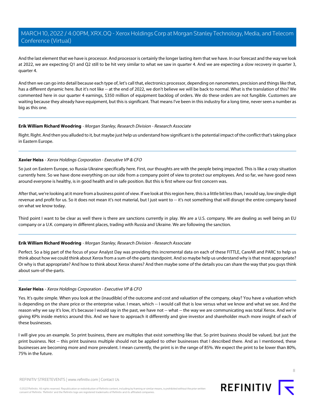And the last element that we have is processor. And processor is certainly the longer lasting item that we have. In our forecast and the way we look at 2022, we are expecting Q1 and Q2 still to be hit very similar to what we saw in quarter 4. And we are expecting a slow recovery in quarter 3, quarter 4.

And then we can go into detail because each type of, let's call that, electronics processor, depending on nanometers, precision and things like that, has a different dynamic here. But it's not like -- at the end of 2022, we don't believe we will be back to normal. What is the translation of this? We commented here in our quarter 4 earnings, \$350 million of equipment backlog of orders. We do these orders are not fungible. Customers are waiting because they already have equipment, but this is significant. That means I've been in this industry for a long time, never seen a number as big as this one.

## **Erik William Richard Woodring** - Morgan Stanley, Research Division - Research Associate

Right. Right. And then you alluded to it, but maybe just help us understand how significant is the potential impact of the conflict that's taking place in Eastern Europe.

## **Xavier Heiss** - Xerox Holdings Corporation - Executive VP & CFO

So just on Eastern Europe, so Russia-Ukraine specifically here. First, our thoughts are with the people being impacted. This is like a crazy situation currently here. So we have done everything on our side from a company point of view to protect our employees. And so far, we have good news around everyone is healthy, is in good health and in safe position. But this is first where our first concern was.

After that, we're looking at it more from a business point of view. If we look at this region here, this is a little bit less than, I would say, low single-digit revenue and profit for us. So it does not mean it's not material, but I just want to -- it's not something that will disrupt the entire company based on what we know today.

Third point I want to be clear as well there is there are sanctions currently in play. We are a U.S. company. We are dealing as well being an EU company or a U.K. company in different places, trading with Russia and Ukraine. We are following the sanction.

#### **Erik William Richard Woodring** - Morgan Stanley, Research Division - Research Associate

Perfect. So a big part of the focus of your Analyst Day was providing this incremental data on each of these FITTLE, CareAR and PARC to help us think about how we could think about Xerox from a sum-of-the-parts standpoint. And so maybe help us understand why is that most appropriate? Or why is that appropriate? And how to think about Xerox shares? And then maybe some of the details you can share the way that you guys think about sum-of-the-parts.

#### **Xavier Heiss** - Xerox Holdings Corporation - Executive VP & CFO

Yes. It's quite simple. When you look at the (inaudible) of the outcome and cost and valuation of the company, okay? You have a valuation which is depending on the share price or the enterprise value. I mean, which -- I would call that is low versus what we know and what we see. And the reason why we say it's low, it's because I would say in the past, we have not -- what -- the way we are communicating was total Xerox. And we're giving KPIs inside metrics around this. And we have to approach it differently and give investor and shareholder much more insight of each of these businesses.

I will give you an example. So print business, there are multiples that exist something like that. So print business should be valued, but just the print business. Not -- this print business multiple should not be applied to other businesses that I described there. And as I mentioned, these businesses are becoming more and more prevalent. I mean currently, the print is in the range of 85%. We expect the print to be lower than 80%, 75% in the future.

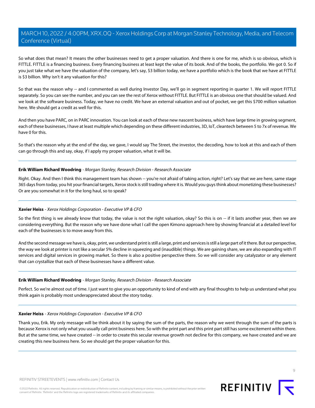So what does that mean? It means the other businesses need to get a proper valuation. And there is one for me, which is so obvious, which is FITTLE. FITTLE is a financing business. Every financing business at least kept the value of its book. And of the books, the portfolio. We got 0. So if you just take what we have the valuation of the company, let's say, \$3 billion today, we have a portfolio which is the book that we have at FITTLE is \$3 billion. Why isn't it any valuation for this?

So that was the reason why -- and I commented as well during Investor Day, we'll go in segment reporting in quarter 1. We will report FITTLE separately. So you can see the number, and you can see the rest of Xerox without FITTLE. But FITTLE is an obvious one that should be valued. And we look at the software business. Today, we have no credit. We have an external valuation and out of pocket, we get this \$700 million valuation here. We should get a credit as well for this.

And then you have PARC, on in PARC innovation. You can look at each of these new nascent business, which have large time in growing segment, each of these businesses, I have at least multiple which depending on these different industries, 3D, IoT, cleantech between 5 to 7x of revenue. We have 0 for this.

So that's the reason why at the end of the day, we gave, I would say The Street, the investor, the decoding, how to look at this and each of them can go through this and say, okay, if I apply my proper valuation, what it will be.

## **Erik William Richard Woodring** - Morgan Stanley, Research Division - Research Associate

Right. Okay. And then I think this management team has shown -- you're not afraid of taking action, right? Let's say that we are here, same stage 365 days from today, you hit your financial targets, Xerox stock is still trading where it is. Would you guys think about monetizing these businesses? Or are you somewhat in it for the long haul, so to speak?

#### **Xavier Heiss** - Xerox Holdings Corporation - Executive VP & CFO

So the first thing is we already know that today, the value is not the right valuation, okay? So this is on -- if it lasts another year, then we are considering everything. But the reason why we have done what I call the open Kimono approach here by showing financial at a detailed level for each of the businesses is to move away from this.

And the second message we have is, okay, print, we understand print is still a large, print and services is still a large part of it there. But our perspective, the way we look at printer is not like a secular 5% decline in squeezing and (inaudible) things. We are gaining share, we are also expanding with IT services and digital services in growing market. So there is also a positive perspective there. So we will consider any catalyzator or any element that can crystallize that each of these businesses have a different value.

#### **Erik William Richard Woodring** - Morgan Stanley, Research Division - Research Associate

Perfect. So we're almost out of time. I just want to give you an opportunity to kind of end with any final thoughts to help us understand what you think again is probably most underappreciated about the story today.

#### **Xavier Heiss** - Xerox Holdings Corporation - Executive VP & CFO

Thank you, Erik. My only message will be think about it by saying the sum of the parts, the reason why we went through the sum of the parts is because Xerox is not only what you usually call print business here. So with the print part and this print part still has some excitement within there. But at the same time, we have created -- in order to create this secular revenue growth not decline for this company, we have created and we are creating this new business here. So we should get the proper valuation for this.